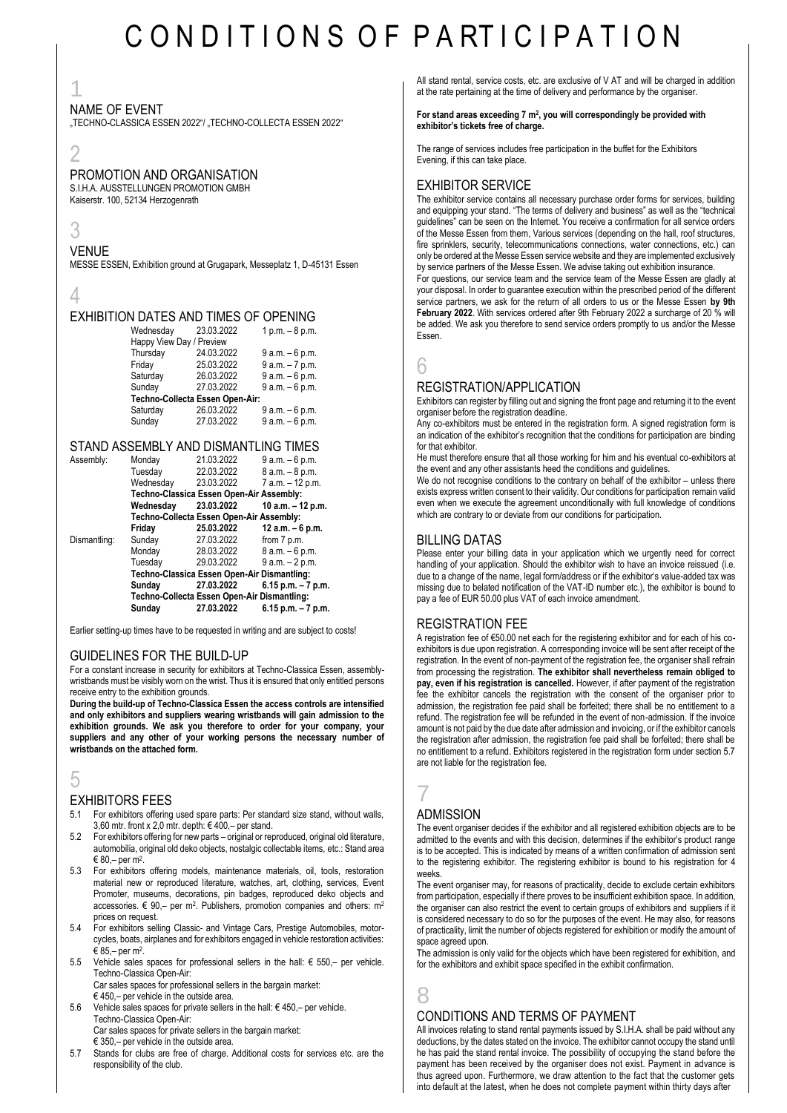# C O N D I T I O N S O F P A RT I C I P A T I O N

1

#### NAME OF EVENT

"TECHNO-CLASSICA ESSEN 2022"/ "TECHNO-COLLECTA ESSEN 2022"

# 2

#### PROMOTION AND ORGANISATION

S.I.H.A. AUSSTELLUNGEN PROMOTION GMBH Kaiserstr. 100, 52134 Herzogenrath

3

### VENUE

MESSE ESSEN, Exhibition ground at Grugapark, Messeplatz 1, D-45131 Essen

#### 4

#### EXHIBITION DATES AND TIMES OF OPENING

| Wednesday                       | 23.03.2022 | $1 p.m. - 8 p.m.$ |  |  |  |
|---------------------------------|------------|-------------------|--|--|--|
| Happy View Day / Preview        |            |                   |  |  |  |
| Thursday                        | 24.03.2022 | $9 a.m. - 6 p.m.$ |  |  |  |
| Friday                          | 25.03.2022 | $9a.m. - 7p.m.$   |  |  |  |
| Saturday                        | 26.03.2022 | $9 a.m. - 6 p.m.$ |  |  |  |
| Sunday                          | 27.03.2022 | $9 a.m. - 6 p.m.$ |  |  |  |
| Techno-Collecta Essen Open-Air: |            |                   |  |  |  |
| Saturday                        | 26.03.2022 | $9 a.m. - 6 p.m.$ |  |  |  |
| Sunday                          | 27.03.2022 | 9 a.m. - 6 p.m.   |  |  |  |

#### STAND ASSEMBLY AND DISMANTLING TIMES

| Assembly:    | Monday                                      | 21.03.2022 | 9 a.m. – 6 p.m.       |  |
|--------------|---------------------------------------------|------------|-----------------------|--|
|              | Tuesday                                     | 22.03.2022 | $8 a.m. - 8 p.m.$     |  |
|              | Wednesday                                   | 23.03.2022 | 7 a.m. - 12 p.m.      |  |
|              | Techno-Classica Essen Open-Air Assembly:    |            |                       |  |
|              | Wednesdav                                   | 23.03.2022 | 10 a.m. – 12 p.m.     |  |
|              | Techno-Collecta Essen Open-Air Assembly:    |            |                       |  |
|              | Friday                                      | 25.03.2022 | 12 a.m. $-6$ p.m.     |  |
| Dismantling: | Sunday                                      | 27.03.2022 | from 7 p.m.           |  |
|              | Monday                                      | 28.03.2022 | 8 a.m. - 6 p.m.       |  |
|              | Tuesday                                     | 29.03.2022 | $9 a.m. - 2 p.m.$     |  |
|              | Techno-Classica Essen Open-Air Dismantling: |            |                       |  |
|              | Sunday                                      | 27.03.2022 | $6.15$ p.m. $-7$ p.m. |  |
|              | Techno-Collecta Essen Open-Air Dismantling: |            |                       |  |
|              | Sunday                                      | 27.03.2022 | $6.15$ p.m. $-7$ p.m. |  |

Earlier setting-up times have to be requested in writing and are subject to costs!

#### GUIDELINES FOR THE BUILD-UP

For a constant increase in security for exhibitors at Techno-Classica Essen, assemblywristbands must be visibly worn on the wrist. Thus it is ensured that only entitled persons receive entry to the exhibition grounds.

**During the build-up of Techno-Classica Essen the access controls are intensified and only exhibitors and suppliers wearing wristbands will gain admission to the exhibition grounds. We ask you therefore to order for your company, your suppliers and any other of your working persons the necessary number of wristbands on the attached form.**

### $\mathfrak h$

#### EXHIBITORS FEES

- 5.1 For exhibitors offering used spare parts: Per standard size stand, without walls, 3,60 mtr. front x 2,0 mtr. depth:  $\in$  400,- per stand.
- 5.2 For exhibitors offering for new parts original or reproduced, original old literature, automobilia, original old deko objects, nostalgic collectable items, etc.: Stand area € 80,– per m<sup>2</sup> .
- 5.3 For exhibitors offering models, maintenance materials, oil, tools, restoration material new or reproduced literature, watches, art, clothing, services, Event Promoter, museums, decorations, pin badges, reproduced deko objects and accessories.  $€ 90,$  per m<sup>2</sup>. Publishers, promotion companies and others: m<sup>2</sup> prices on request.
- 5.4 For exhibitors selling Classic- and Vintage Cars, Prestige Automobiles, motorcycles, boats, airplanes and for exhibitors engaged in vehicle restoration activities:  $€ 85,$ – per m $^2$ .
- 5.5 Vehicle sales spaces for professional sellers in the hall: € 550,– per vehicle. Techno-Classica Open-Air: Car sales spaces for professional sellers in the bargain market:

 $\in$  450 – per vehicle in the outside area.

- 5.6 Vehicle sales spaces for private sellers in the hall: € 450,– per vehicle. Techno-Classica Open-Air: Car sales spaces for private sellers in the bargain market: € 350,– per vehicle in the outside area.
- 5.7 Stands for clubs are free of charge. Additional costs for services etc. are the responsibility of the club.

All stand rental, service costs, etc. are exclusive of V AT and will be charged in addition at the rate pertaining at the time of delivery and performance by the organiser.

#### **For stand areas exceeding 7 m<sup>2</sup> , you will correspondingly be provided with exhibitor's tickets free of charge.**

The range of services includes free participation in the buffet for the Exhibitors Evening, if this can take place.

#### EXHIBITOR SERVICE

The exhibitor service contains all necessary purchase order forms for services, building and equipping your stand. "The terms of delivery and business" as well as the "technical guidelines" can be seen on the Internet. You receive a confirmation for all service orders of the Messe Essen from them, Various services (depending on the hall, roof structures, fire sprinklers, security, telecommunications connections, water connections, etc.) can only be ordered at the Messe Essen service website and they are implemented exclusively by service partners of the Messe Essen. We advise taking out exhibition insurance. For questions, our service team and the service team of the Messe Essen are gladly at your disposal. In order to guarantee execution within the prescribed period of the different service partners, we ask for the return of all orders to us or the Messe Essen **by 9th February 2022**. With services ordered after 9th February 2022 a surcharge of 20 % will be added. We ask you therefore to send service orders promptly to us and/or the Messe Essen.

6

#### REGISTRATION/APPLICATION

Exhibitors can register by filling out and signing the front page and returning it to the event organiser before the registration deadline.

Any co-exhibitors must be entered in the registration form. A signed registration form is an indication of the exhibitor's recognition that the conditions for participation are binding for that exhibitor.

He must therefore ensure that all those working for him and his eventual co-exhibitors at the event and any other assistants heed the conditions and guidelines.

We do not recognise conditions to the contrary on behalf of the exhibitor – unless there exists express written consent to their validity. Our conditions for participation remain valid even when we execute the agreement unconditionally with full knowledge of conditions which are contrary to or deviate from our conditions for participation.

#### BILLING DATAS

Please enter your billing data in your application which we urgently need for correct handling of your application. Should the exhibitor wish to have an invoice reissued (i.e. due to a change of the name, legal form/address or if the exhibitor's value-added tax was missing due to belated notification of the VAT-ID number etc.), the exhibitor is bound to pay a fee of EUR 50.00 plus VAT of each invoice amendment.

#### REGISTRATION FEE

A registration fee of €50.00 net each for the registering exhibitor and for each of his coexhibitors is due upon registration. A corresponding invoice will be sent after receipt of the registration. In the event of non-payment of the registration fee, the organiser shall refrain from processing the registration. **The exhibitor shall nevertheless remain obliged to pay, even if his registration is cancelled.** However, if after payment of the registration fee the exhibitor cancels the registration with the consent of the organiser prior to admission, the registration fee paid shall be forfeited; there shall be no entitlement to a refund. The registration fee will be refunded in the event of non-admission. If the invoice amount is not paid by the due date after admission and invoicing, or if the exhibitor cancels the registration after admission, the registration fee paid shall be forfeited; there shall be no entitlement to a refund. Exhibitors registered in the registration form under section 5.7 are not liable for the registration fee.

### 7 ADMISSION

The event organiser decides if the exhibitor and all registered exhibition objects are to be admitted to the events and with this decision, determines if the exhibitor's product range is to be accepted. This is indicated by means of a written confirmation of admission sent to the registering exhibitor. The registering exhibitor is bound to his registration for 4 weeks.

The event organiser may, for reasons of practicality, decide to exclude certain exhibitors from participation, especially if there proves to be insufficient exhibition space. In addition, the organiser can also restrict the event to certain groups of exhibitors and suppliers if it is considered necessary to do so for the purposes of the event. He may also, for reasons of practicality, limit the number of objects registered for exhibition or modify the amount of space agreed upon.

The admission is only valid for the objects which have been registered for exhibition, and for the exhibitors and exhibit space specified in the exhibit confirmation.

### 8 CONDITIONS AND TERMS OF PAYMENT

All invoices relating to stand rental payments issued by S.I.H.A. shall be paid without any deductions, by the dates stated on the invoice. The exhibitor cannot occupy the stand until he has paid the stand rental invoice. The possibility of occupying the stand before the payment has been received by the organiser does not exist. Payment in advance is thus agreed upon. Furthermore, we draw attention to the fact that the customer gets into default at the latest, when he does not complete payment within thirty days after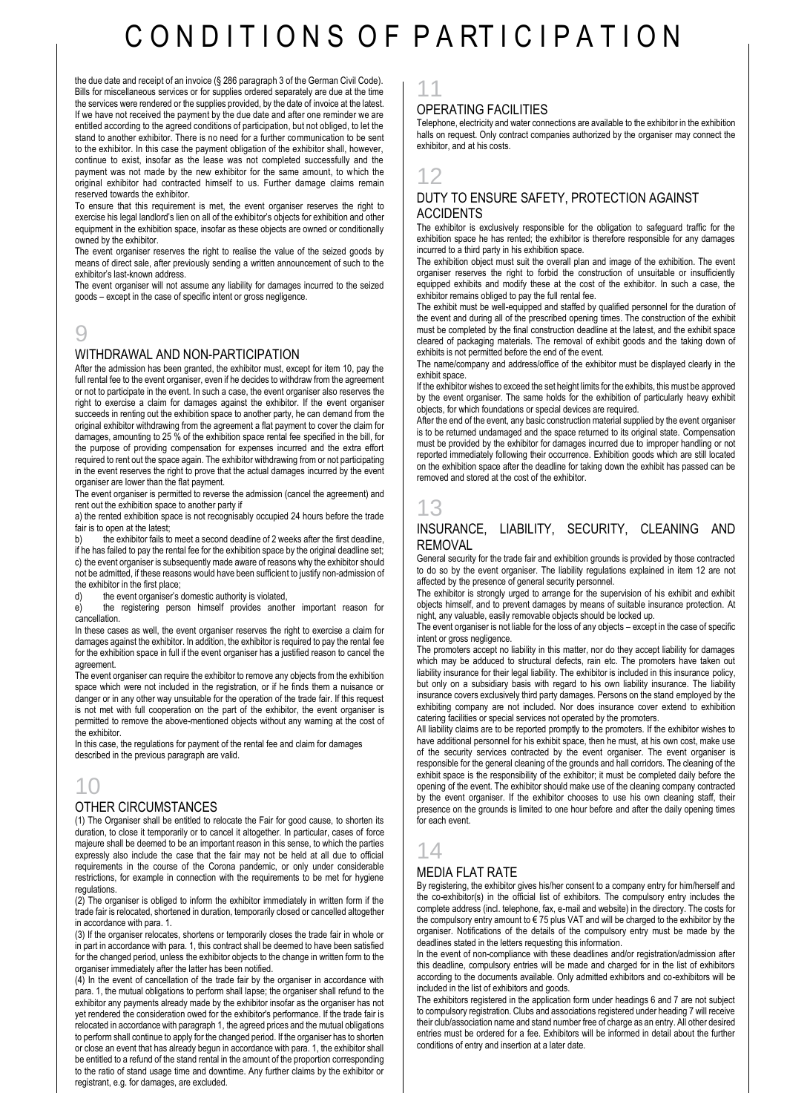# C O N D I T I O N S O F P A RT I C I P A T I O N

the due date and receipt of an invoice (§ 286 paragraph 3 of the German Civil Code). Bills for miscellaneous services or for supplies ordered separately are due at the time the services were rendered or the supplies provided, by the date of invoice at the latest. If we have not received the payment by the due date and after one reminder we are entitled according to the agreed conditions of participation, but not obliged, to let the stand to another exhibitor. There is no need for a further communication to be sent to the exhibitor. In this case the payment obligation of the exhibitor shall, however, continue to exist, insofar as the lease was not completed successfully and the payment was not made by the new exhibitor for the same amount, to which the original exhibitor had contracted himself to us. Further damage claims remain reserved towards the exhibitor.

To ensure that this requirement is met, the event organiser reserves the right to exercise his legal landlord's lien on all of the exhibitor's objects for exhibition and other equipment in the exhibition space, insofar as these objects are owned or conditionally owned by the exhibitor.

The event organiser reserves the right to realise the value of the seized goods by means of direct sale, after previously sending a written announcement of such to the exhibitor's last-known address.

The event organiser will not assume any liability for damages incurred to the seized goods – except in the case of specific intent or gross negligence.

# 9

#### WITHDRAWAL AND NON-PARTICIPATION

After the admission has been granted, the exhibitor must, except for item 10, pay the full rental fee to the event organiser, even if he decides to withdraw from the agreement or not to participate in the event. In such a case, the event organiser also reserves the right to exercise a claim for damages against the exhibitor. If the event organiser succeeds in renting out the exhibition space to another party, he can demand from the original exhibitor withdrawing from the agreement a flat payment to cover the claim for damages, amounting to 25 % of the exhibition space rental fee specified in the bill, for the purpose of providing compensation for expenses incurred and the extra effort required to rent out the space again. The exhibitor withdrawing from or not participating in the event reserves the right to prove that the actual damages incurred by the event organiser are lower than the flat payment.

The event organiser is permitted to reverse the admission (cancel the agreement) and rent out the exhibition space to another party if

a) the rented exhibition space is not recognisably occupied 24 hours before the trade fair is to open at the latest:

the exhibitor fails to meet a second deadline of 2 weeks after the first deadline, if he has failed to pay the rental fee for the exhibition space by the original deadline set; c) the event organiser is subsequently made aware of reasons why the exhibitor should not be admitted, if these reasons would have been sufficient to justify non-admission of the exhibitor in the first place;

d) the event organiser's domestic authority is violated,

e) the registering person himself provides another important reason for cancellation.

In these cases as well, the event organiser reserves the right to exercise a claim for damages against the exhibitor. In addition, the exhibitor is required to pay the rental fee for the exhibition space in full if the event organiser has a justified reason to cancel the agreement.

The event organiser can require the exhibitor to remove any objects from the exhibition space which were not included in the registration, or if he finds them a nuisance or danger or in any other way unsuitable for the operation of the trade fair. If this request is not met with full cooperation on the part of the exhibitor, the event organiser is permitted to remove the above-mentioned objects without any warning at the cost of the exhibitor.

In this case, the regulations for payment of the rental fee and claim for damages described in the previous paragraph are valid.

# 10

#### OTHER CIRCUMSTANCES

(1) The Organiser shall be entitled to relocate the Fair for good cause, to shorten its duration, to close it temporarily or to cancel it altogether. In particular, cases of force majeure shall be deemed to be an important reason in this sense, to which the parties expressly also include the case that the fair may not be held at all due to official requirements in the course of the Corona pandemic, or only under considerable restrictions, for example in connection with the requirements to be met for hygiene regulations.

(2) The organiser is obliged to inform the exhibitor immediately in written form if the trade fair is relocated, shortened in duration, temporarily closed or cancelled altogether in accordance with para. 1.

(3) If the organiser relocates, shortens or temporarily closes the trade fair in whole or in part in accordance with para. 1, this contract shall be deemed to have been satisfied for the changed period, unless the exhibitor objects to the change in written form to the organiser immediately after the latter has been notified.

(4) In the event of cancellation of the trade fair by the organiser in accordance with para. 1, the mutual obligations to perform shall lapse; the organiser shall refund to the exhibitor any payments already made by the exhibitor insofar as the organiser has not yet rendered the consideration owed for the exhibitor's performance. If the trade fair is relocated in accordance with paragraph 1, the agreed prices and the mutual obligations to perform shall continue to apply for the changed period. If the organiser has to shorten or close an event that has already begun in accordance with para. 1, the exhibitor shall be entitled to a refund of the stand rental in the amount of the proportion corresponding to the ratio of stand usage time and downtime. Any further claims by the exhibitor or registrant, e.g. for damages, are excluded.

### 11

#### OPERATING FACILITIES

Telephone, electricity and water connections are available to the exhibitor in the exhibition halls on request. Only contract companies authorized by the organiser may connect the exhibitor, and at his costs.

# 12

#### DUTY TO ENSURE SAFETY, PROTECTION AGAINST **ACCIDENTS**

The exhibitor is exclusively responsible for the obligation to safeguard traffic for the exhibition space he has rented; the exhibitor is therefore responsible for any damages incurred to a third party in his exhibition space.

The exhibition object must suit the overall plan and image of the exhibition. The event organiser reserves the right to forbid the construction of unsuitable or insufficiently equipped exhibits and modify these at the cost of the exhibitor. In such a case, the exhibitor remains obliged to pay the full rental fee.

The exhibit must be well-equipped and staffed by qualified personnel for the duration of the event and during all of the prescribed opening times. The construction of the exhibit must be completed by the final construction deadline at the latest, and the exhibit space cleared of packaging materials. The removal of exhibit goods and the taking down of exhibits is not permitted before the end of the event.

The name/company and address/office of the exhibitor must be displayed clearly in the exhibit space.

If the exhibitor wishes to exceed the set height limits for the exhibits, this must be approved by the event organiser. The same holds for the exhibition of particularly heavy exhibit objects, for which foundations or special devices are required.

After the end of the event, any basic construction material supplied by the event organiser is to be returned undamaged and the space returned to its original state. Compensation must be provided by the exhibitor for damages incurred due to improper handling or not reported immediately following their occurrence. Exhibition goods which are still located on the exhibition space after the deadline for taking down the exhibit has passed can be removed and stored at the cost of the exhibitor.

# 13

#### INSURANCE, LIABILITY, SECURITY, CLEANING AND **REMOVAL**

General security for the trade fair and exhibition grounds is provided by those contracted to do so by the event organiser. The liability regulations explained in item 12 are not affected by the presence of general security personnel.

The exhibitor is strongly urged to arrange for the supervision of his exhibit and exhibit objects himself, and to prevent damages by means of suitable insurance protection. At night, any valuable, easily removable objects should be locked up.

The event organiser is not liable for the loss of any objects – except in the case of specific intent or gross negligence.

The promoters accept no liability in this matter, nor do they accept liability for damages which may be adduced to structural defects, rain etc. The promoters have taken out liability insurance for their legal liability. The exhibitor is included in this insurance policy, but only on a subsidiary basis with regard to his own liability insurance. The liability insurance covers exclusively third party damages. Persons on the stand employed by the exhibiting company are not included. Nor does insurance cover extend to exhibition catering facilities or special services not operated by the promoters.

All liability claims are to be reported promptly to the promoters. If the exhibitor wishes to have additional personnel for his exhibit space, then he must, at his own cost, make use of the security services contracted by the event organiser. The event organiser is responsible for the general cleaning of the grounds and hall corridors. The cleaning of the exhibit space is the responsibility of the exhibitor; it must be completed daily before the opening of the event. The exhibitor should make use of the cleaning company contracted by the event organiser. If the exhibitor chooses to use his own cleaning staff, their presence on the grounds is limited to one hour before and after the daily opening times for each event.

### 14

#### MEDIA FLAT RATE

By registering, the exhibitor gives his/her consent to a company entry for him/herself and the co-exhibitor(s) in the official list of exhibitors. The compulsory entry includes the complete address (incl. telephone, fax, e-mail and website) in the directory. The costs for the compulsory entry amount to € 75 plus VAT and will be charged to the exhibitor by the organiser. Notifications of the details of the compulsory entry must be made by the deadlines stated in the letters requesting this information.

In the event of non-compliance with these deadlines and/or registration/admission after this deadline, compulsory entries will be made and charged for in the list of exhibitors according to the documents available. Only admitted exhibitors and co-exhibitors will be included in the list of exhibitors and goods.

The exhibitors registered in the application form under headings 6 and 7 are not subject to compulsory registration. Clubs and associations registered under heading 7 will receive their club/association name and stand number free of charge as an entry. All other desired entries must be ordered for a fee. Exhibitors will be informed in detail about the further conditions of entry and insertion at a later date.